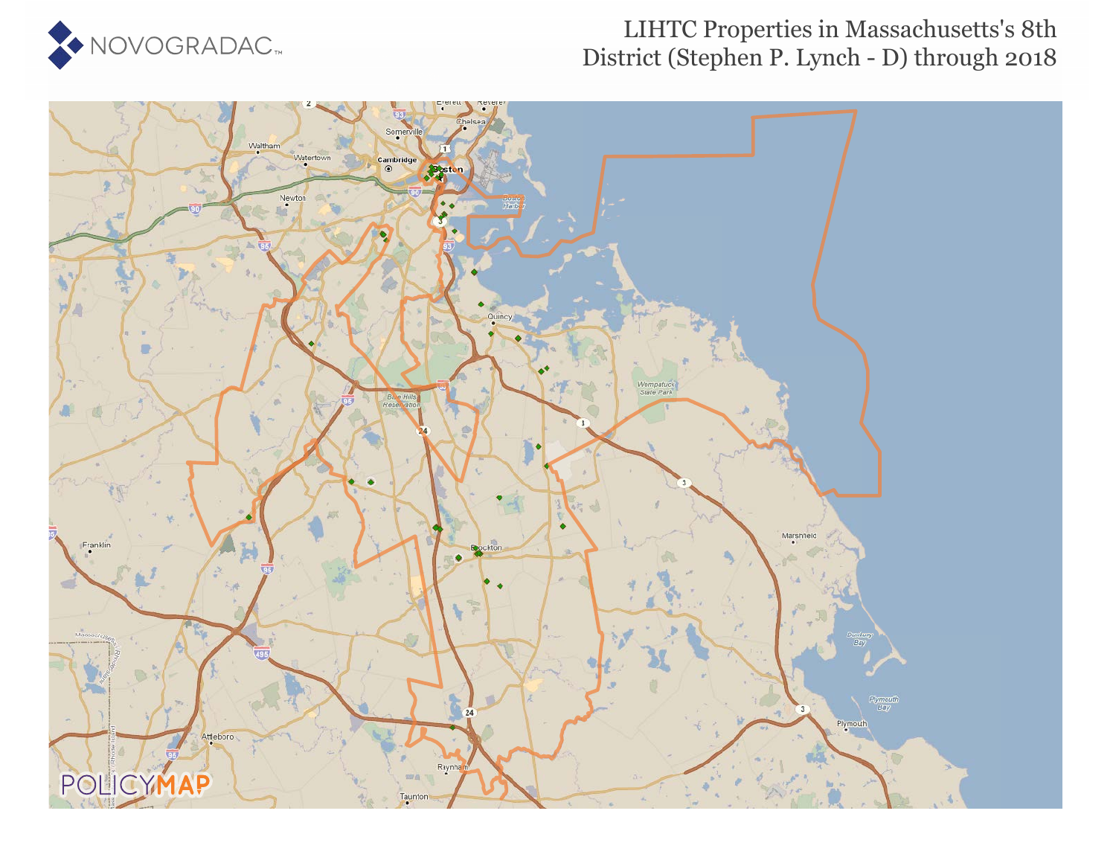

### LIHTC Properties in Massachusetts's 8th District (Stephen P. Lynch - D) through 2018

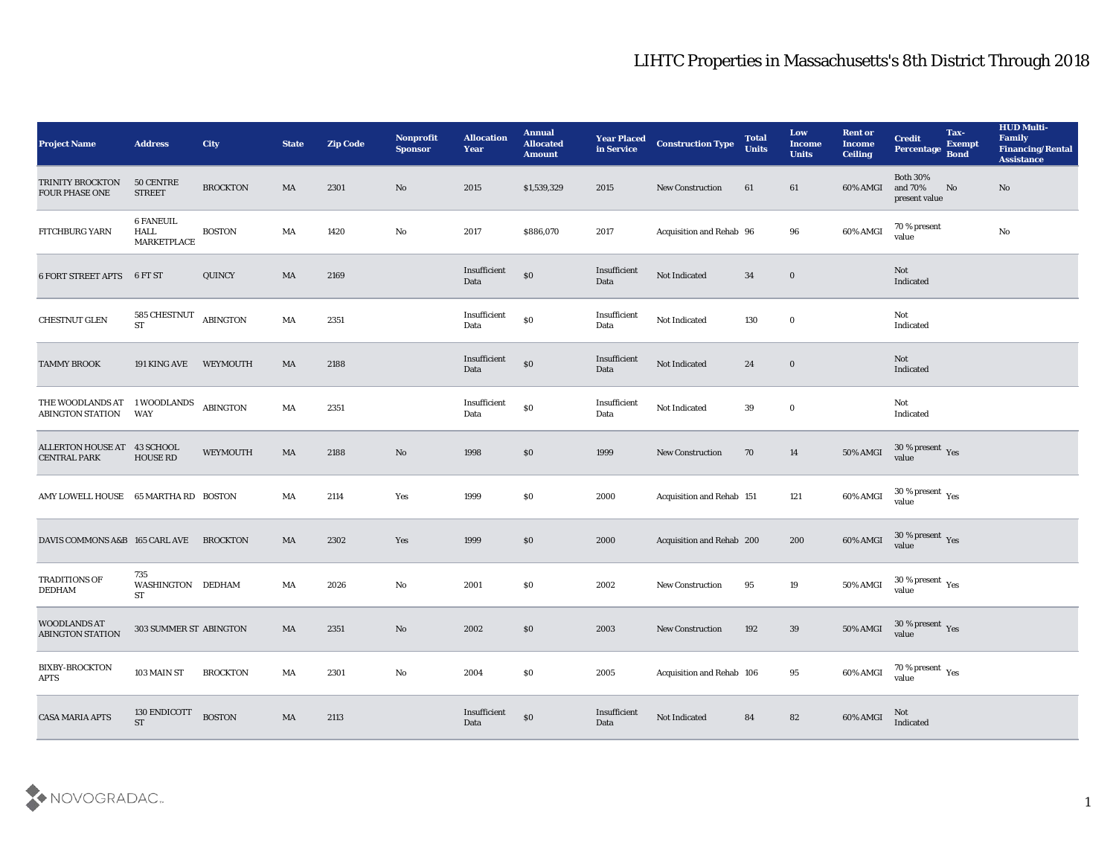| <b>Project Name</b>                                | <b>Address</b>                                 | <b>City</b>     | <b>State</b> | <b>Zip Code</b> | Nonprofit<br><b>Sponsor</b> | <b>Allocation</b><br>Year                   | <b>Annual</b><br><b>Allocated</b><br><b>Amount</b> | <b>Year Placed</b><br>in Service | <b>Construction Type</b>  | <b>Total</b><br><b>Units</b> | Low<br><b>Income</b><br><b>Units</b> | <b>Rent or</b><br><b>Income</b><br>Ceiling | <b>Credit</b><br>Percentage Bond                     | Tax-<br><b>Exempt</b> | <b>HUD Multi-</b><br>Family<br><b>Financing/Rental</b><br><b>Assistance</b> |
|----------------------------------------------------|------------------------------------------------|-----------------|--------------|-----------------|-----------------------------|---------------------------------------------|----------------------------------------------------|----------------------------------|---------------------------|------------------------------|--------------------------------------|--------------------------------------------|------------------------------------------------------|-----------------------|-----------------------------------------------------------------------------|
| <b>TRINITY BROCKTON</b><br><b>FOUR PHASE ONE</b>   | 50 CENTRE<br><b>STREET</b>                     | <b>BROCKTON</b> | MA           | 2301            | No                          | 2015                                        | \$1,539,329                                        | 2015                             | <b>New Construction</b>   | 61                           | 61                                   | 60% AMGI                                   | <b>Both 30%</b><br>and 70%<br>present value          | No                    | No                                                                          |
| FITCHBURG YARN                                     | <b>6 FANEUIL</b><br>HALL<br><b>MARKETPLACE</b> | <b>BOSTON</b>   | MA           | 1420            | No                          | 2017                                        | \$886,070                                          | 2017                             | Acquisition and Rehab 96  |                              | 96                                   | 60% AMGI                                   | 70 % present<br>value                                |                       | $\mathbf {No}$                                                              |
| <b>6 FORT STREET APTS</b>                          | 6 FT ST                                        | QUINCY          | MA           | 2169            |                             | Insufficient<br>Data                        | $\$0$                                              | Insufficient<br>Data             | Not Indicated             | 34                           | $\bf{0}$                             |                                            | Not<br>Indicated                                     |                       |                                                                             |
| <b>CHESTNUT GLEN</b>                               | 585 CHESTNUT<br><b>ST</b>                      | <b>ABINGTON</b> | MA           | 2351            |                             | Insufficient<br>Data                        | $\$0$                                              | Insufficient<br>Data             | Not Indicated             | 130                          | $\bf{0}$                             |                                            | Not<br>Indicated                                     |                       |                                                                             |
| <b>TAMMY BROOK</b>                                 | 191 KING AVE                                   | WEYMOUTH        | MA           | 2188            |                             | Insufficient<br>Data                        | $\$0$                                              | Insufficient<br>Data             | Not Indicated             | 24                           | $\bf{0}$                             |                                            | Not<br>Indicated                                     |                       |                                                                             |
| THE WOODLANDS AT<br><b>ABINGTON STATION</b>        | 1 WOODLANDS<br>WAY                             | ABINGTON        | MA           | 2351            |                             | Insufficient<br>Data                        | $\$0$                                              | Insufficient<br>Data             | Not Indicated             | 39                           | $\bf{0}$                             |                                            | Not<br>Indicated                                     |                       |                                                                             |
| ALLERTON HOUSE AT 43 SCHOOL<br><b>CENTRAL PARK</b> | <b>HOUSE RD</b>                                | WEYMOUTH        | MA           | 2188            | No                          | 1998                                        | $\$0$                                              | 1999                             | New Construction          | 70                           | 14                                   | <b>50% AMGI</b>                            | $30\,\%$ present $\,\mathrm{Yes}$ value              |                       |                                                                             |
| AMY LOWELL HOUSE 65 MARTHA RD BOSTON               |                                                |                 | MA           | 2114            | Yes                         | 1999                                        | \$0                                                | 2000                             | Acquisition and Rehab 151 |                              | 121                                  | 60% AMGI                                   | 30 % present $\rm\thinspace\gamma_{\rm es}$<br>value |                       |                                                                             |
| DAVIS COMMONS A&B 165 CARL AVE                     |                                                | <b>BROCKTON</b> | MA           | 2302            | Yes                         | 1999                                        | $\$0$                                              | 2000                             | Acquisition and Rehab 200 |                              | 200                                  | 60% AMGI                                   | $30\,\%$ present $\,$ Yes value                      |                       |                                                                             |
| TRADITIONS OF<br><b>DEDHAM</b>                     | 735<br>WASHINGTON DEDHAM<br>ST                 |                 | MA           | 2026            | No                          | 2001                                        | \$0\$                                              | 2002                             | <b>New Construction</b>   | 95                           | 19                                   | 50% AMGI                                   | $30\,\%$ present $\,$ Yes value                      |                       |                                                                             |
| <b>WOODLANDS AT</b><br><b>ABINGTON STATION</b>     | 303 SUMMER ST ABINGTON                         |                 | MA           | 2351            | No                          | 2002                                        | $\$0$                                              | 2003                             | <b>New Construction</b>   | 192                          | 39                                   | 50% AMGI                                   | 30 % present Yes<br>value                            |                       |                                                                             |
| <b>BIXBY-BROCKTON</b><br>APTS                      | 103 MAIN ST                                    | <b>BROCKTON</b> | MA           | 2301            | $\mathbf {No}$              | 2004                                        | $\$0$                                              | 2005                             | Acquisition and Rehab 106 |                              | $\bf 95$                             | 60% AMGI                                   | $70\,\%$ present $\,\mathrm{Yes}$ value              |                       |                                                                             |
| <b>CASA MARIA APTS</b>                             | 130 ENDICOTT<br><b>ST</b>                      | <b>BOSTON</b>   | MA           | 2113            |                             | $\label{lem:optimal} In sufficient$<br>Data | $\$0$                                              | Insufficient<br>Data             | Not Indicated             | 84                           | 82                                   | 60% AMGI                                   | $\rm Not$ Indicated                                  |                       |                                                                             |

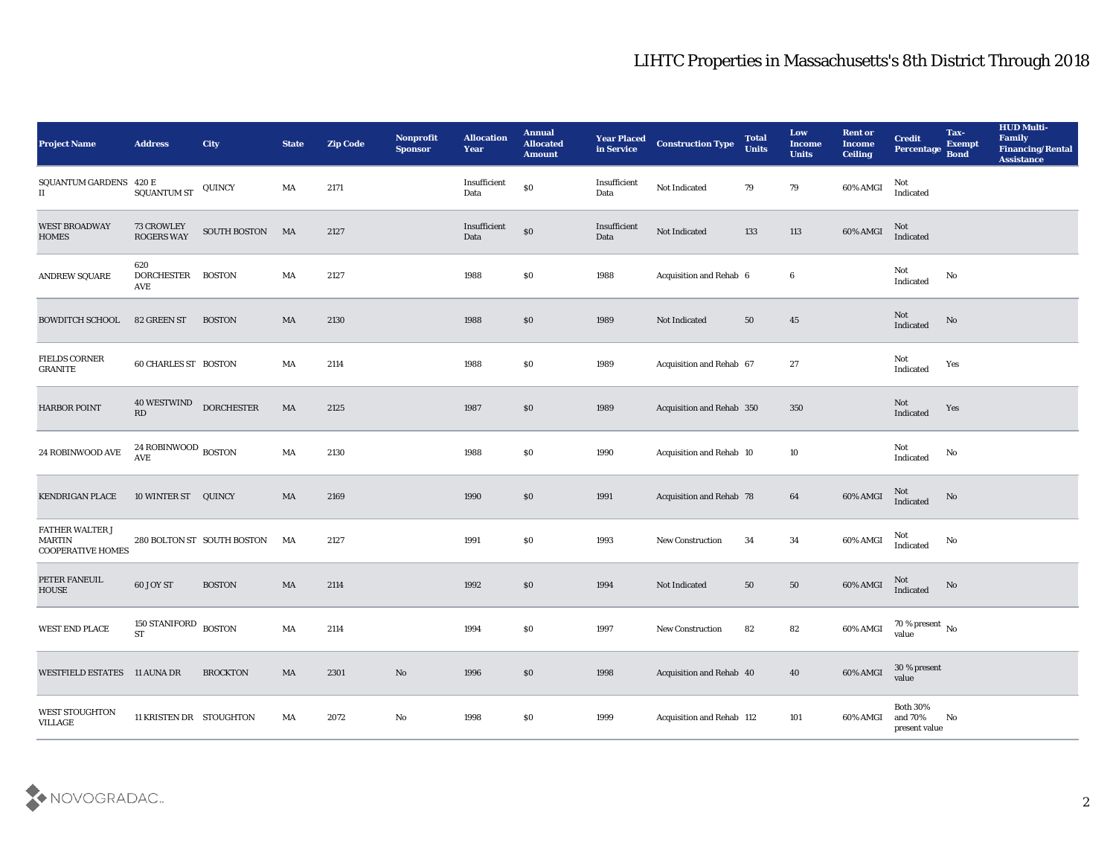| <b>Project Name</b>                                   | <b>Address</b>                    | City                       | <b>State</b> | <b>Zip Code</b> | Nonprofit<br><b>Sponsor</b> | <b>Allocation</b><br><b>Year</b> | <b>Annual</b><br><b>Allocated</b><br><b>Amount</b> | <b>Year Placed</b><br>in Service | <b>Construction Type</b>        | <b>Total</b><br><b>Units</b> | Low<br><b>Income</b><br><b>Units</b> | <b>Rent or</b><br><b>Income</b><br><b>Ceiling</b> | <b>Credit</b><br><b>Percentage</b>         | Tax-<br><b>Exempt</b><br><b>Bond</b> | <b>HUD Multi-</b><br>Family<br><b>Financing/Rental</b><br><b>Assistance</b> |
|-------------------------------------------------------|-----------------------------------|----------------------------|--------------|-----------------|-----------------------------|----------------------------------|----------------------------------------------------|----------------------------------|---------------------------------|------------------------------|--------------------------------------|---------------------------------------------------|--------------------------------------------|--------------------------------------|-----------------------------------------------------------------------------|
| <b>SQUANTUM GARDENS</b><br>$\scriptstyle\rm II$       | 420 E<br>SQUANTUM ST              | QUINCY                     | MA           | 2171            |                             | Insufficient<br>Data             | $\$0$                                              | Insufficient<br>Data             | Not Indicated                   | 79                           | 79                                   | 60% AMGI                                          | Not<br>Indicated                           |                                      |                                                                             |
| <b>WEST BROADWAY</b><br><b>HOMES</b>                  | 73 CROWLEY<br><b>ROGERS WAY</b>   | SOUTH BOSTON MA            |              | 2127            |                             | Insufficient<br>Data             | $\$0$                                              | Insufficient<br>Data             | Not Indicated                   | 133                          | 113                                  | 60% AMGI                                          | Not<br>Indicated                           |                                      |                                                                             |
| <b>ANDREW SQUARE</b>                                  | 620<br><b>DORCHESTER</b><br>AVE   | <b>BOSTON</b>              | MA           | 2127            |                             | 1988                             | \$0                                                | 1988                             | Acquisition and Rehab 6         |                              | 6                                    |                                                   | Not<br>Indicated                           | No                                   |                                                                             |
| <b>BOWDITCH SCHOOL</b>                                | 82 GREEN ST                       | <b>BOSTON</b>              | MA           | 2130            |                             | 1988                             | \$0                                                | 1989                             | Not Indicated                   | 50                           | 45                                   |                                                   | Not<br>Indicated                           | No                                   |                                                                             |
| <b>FIELDS CORNER</b><br>GRANITE                       | <b>60 CHARLES ST BOSTON</b>       |                            | MA           | 2114            |                             | 1988                             | \$0                                                | 1989                             | Acquisition and Rehab 67        |                              | 27                                   |                                                   | Not<br>Indicated                           | Yes                                  |                                                                             |
| <b>HARBOR POINT</b>                                   | <b>40 WESTWIND</b><br>RD          | <b>DORCHESTER</b>          | MA           | 2125            |                             | 1987                             | \$0                                                | 1989                             | Acquisition and Rehab 350       |                              | 350                                  |                                                   | Not<br>Indicated                           | Yes                                  |                                                                             |
| 24 ROBINWOOD AVE                                      | 24 ROBINWOOD BOSTON<br><b>AVE</b> |                            | MA           | 2130            |                             | 1988                             | \$0                                                | 1990                             | Acquisition and Rehab 10        |                              | 10                                   |                                                   | Not<br>Indicated                           | No                                   |                                                                             |
| <b>KENDRIGAN PLACE</b>                                | 10 WINTER ST                      | QUINCY                     | MA           | 2169            |                             | 1990                             | \$0                                                | 1991                             | <b>Acquisition and Rehab 78</b> |                              | 64                                   | 60% AMGI                                          | Not<br>Indicated                           | No                                   |                                                                             |
| FATHER WALTER J<br>MARTIN<br><b>COOPERATIVE HOMES</b> |                                   | 280 BOLTON ST SOUTH BOSTON | MA           | 2127            |                             | 1991                             | \$0                                                | 1993                             | <b>New Construction</b>         | 34                           | 34                                   | 60% AMGI                                          | Not<br>Indicated                           | No                                   |                                                                             |
| PETER FANEUIL<br>HOUSE                                | 60 JOY ST                         | <b>BOSTON</b>              | MA           | 2114            |                             | 1992                             | \$0                                                | 1994                             | Not Indicated                   | 50                           | 50                                   | 60% AMGI                                          | Not<br>Indicated                           | No                                   |                                                                             |
| <b>WEST END PLACE</b>                                 | <b>150 STANIFORD</b><br><b>ST</b> | <b>BOSTON</b>              | MA           | 2114            |                             | 1994                             | \$0                                                | 1997                             | <b>New Construction</b>         | 82                           | 82                                   | 60% AMGI                                          | 70 % present $\,$ No $\,$<br>value         |                                      |                                                                             |
| WESTFIELD ESTATES 11 AUNA DR                          |                                   | <b>BROCKTON</b>            | MA           | 2301            | $\rm\, No$                  | 1996                             | $\$0$                                              | 1998                             | Acquisition and Rehab 40        |                              | 40                                   | 60% AMGI                                          | $30\,\%$ present<br>value                  |                                      |                                                                             |
| WEST STOUGHTON<br><b>VILLAGE</b>                      | 11 KRISTEN DR STOUGHTON           |                            | MA           | 2072            | $\rm\, No$                  | 1998                             | \$0                                                | 1999                             | Acquisition and Rehab 112       |                              | 101                                  | 60% AMGI                                          | Both $30\%$<br>and $70\%$<br>present value | No                                   |                                                                             |

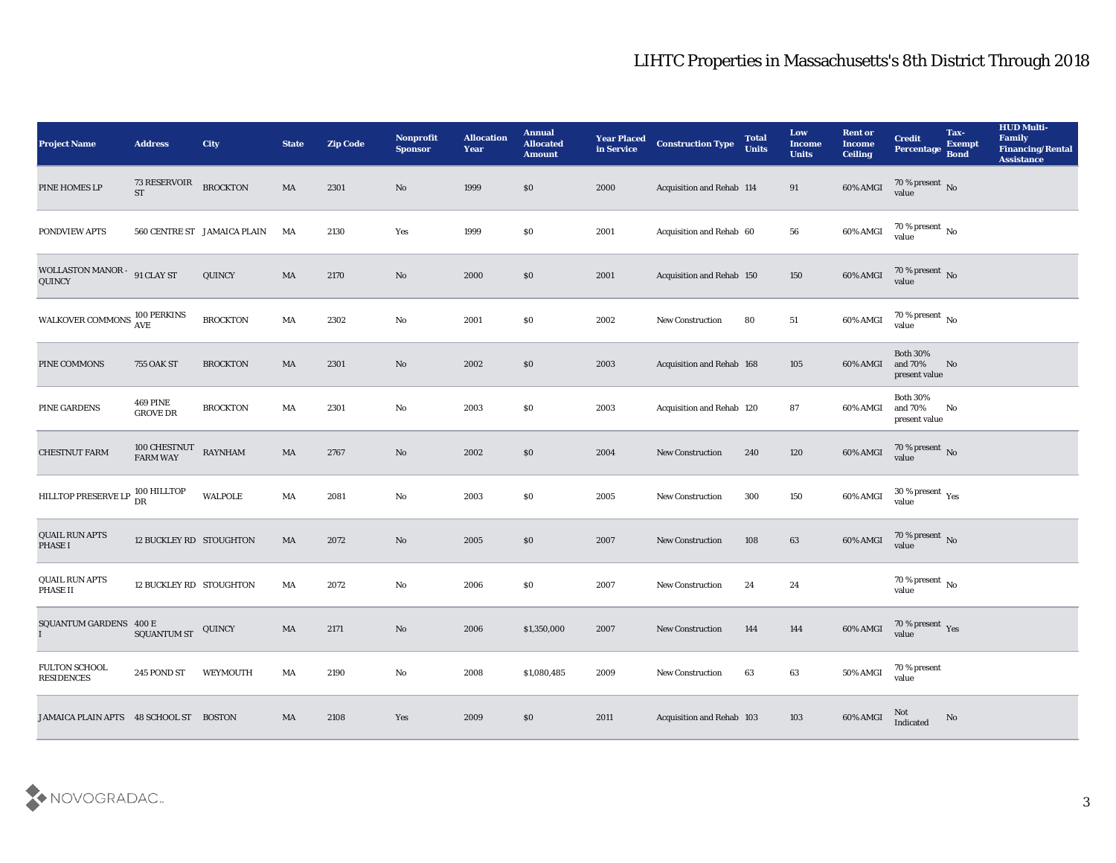| <b>Project Name</b>                                | <b>Address</b>                     | City                        | <b>State</b> | <b>Zip Code</b> | <b>Nonprofit</b><br><b>Sponsor</b> | <b>Allocation</b><br>Year | <b>Annual</b><br><b>Allocated</b><br><b>Amount</b> | <b>Year Placed</b><br>in Service | <b>Construction Type</b>  | <b>Total</b><br><b>Units</b> | Low<br><b>Income</b><br><b>Units</b> | <b>Rent or</b><br><b>Income</b><br><b>Ceiling</b> | <b>Credit</b><br>Percentage                 | Tax-<br><b>Exempt</b><br><b>Bond</b> | <b>HUD Multi-</b><br>Family<br><b>Financing/Rental</b><br><b>Assistance</b> |
|----------------------------------------------------|------------------------------------|-----------------------------|--------------|-----------------|------------------------------------|---------------------------|----------------------------------------------------|----------------------------------|---------------------------|------------------------------|--------------------------------------|---------------------------------------------------|---------------------------------------------|--------------------------------------|-----------------------------------------------------------------------------|
| PINE HOMES LP                                      | 73 RESERVOIR<br><b>ST</b>          | <b>BROCKTON</b>             | MA           | 2301            | No                                 | 1999                      | \$0                                                | 2000                             | Acquisition and Rehab 114 |                              | 91                                   | 60% AMGI                                          | 70 % present No value                       |                                      |                                                                             |
| PONDVIEW APTS                                      |                                    | 560 CENTRE ST JAMAICA PLAIN | MA           | 2130            | Yes                                | 1999                      | \$0                                                | 2001                             | Acquisition and Rehab 60  |                              | 56                                   | 60% AMGI                                          | $70$ % present $\,$ No value                |                                      |                                                                             |
| WOLLASTON MANOR - 91 CLAY ST<br>QUINCY             |                                    | QUINCY                      | MA           | 2170            | No                                 | 2000                      | \$0                                                | 2001                             | Acquisition and Rehab 150 |                              | 150                                  | $60\%$ AMGI                                       | $70\,\%$ present $\,$ No value              |                                      |                                                                             |
| WALKOVER COMMONS $^{100\, \rm{PERKINS}}_{\rm AVE}$ |                                    | <b>BROCKTON</b>             | MA           | 2302            | $\mathbf {No}$                     | 2001                      | \$0                                                | 2002                             | <b>New Construction</b>   | 80                           | 51                                   | 60% AMGI                                          | $70\,\%$ present $\,$ No value              |                                      |                                                                             |
| PINE COMMONS                                       | <b>755 OAK ST</b>                  | <b>BROCKTON</b>             | MA           | 2301            | No                                 | 2002                      | \$0                                                | 2003                             | Acquisition and Rehab 168 |                              | 105                                  | 60% AMGI                                          | <b>Both 30%</b><br>and 70%<br>present value | No                                   |                                                                             |
| PINE GARDENS                                       | <b>469 PINE</b><br><b>GROVE DR</b> | <b>BROCKTON</b>             | MA           | 2301            | No                                 | 2003                      | \$0                                                | 2003                             | Acquisition and Rehab 120 |                              | 87                                   | 60% AMGI                                          | <b>Both 30%</b><br>and 70%<br>present value | No                                   |                                                                             |
| <b>CHESTNUT FARM</b>                               | 100 CHESTNUT<br>FARM WAY           | <b>RAYNHAM</b>              | MA           | 2767            | No                                 | 2002                      | \$0                                                | 2004                             | <b>New Construction</b>   | 240                          | 120                                  | 60% AMGI                                          | $70\,\%$ present $\,$ No value              |                                      |                                                                             |
| HILLTOP PRESERVE LP                                | 100 HILLTOP<br>DR                  | <b>WALPOLE</b>              | MA           | 2081            | No                                 | 2003                      | \$0                                                | 2005                             | <b>New Construction</b>   | 300                          | 150                                  | 60% AMGI                                          | $30\,\%$ present $\,\mathrm{Yes}$<br>value  |                                      |                                                                             |
| QUAIL RUN APTS<br><b>PHASE I</b>                   | 12 BUCKLEY RD STOUGHTON            |                             | MA           | 2072            | No                                 | 2005                      | \$0                                                | 2007                             | <b>New Construction</b>   | 108                          | 63                                   | 60% AMGI                                          | $70$ % present $\,$ No value                |                                      |                                                                             |
| <b>QUAIL RUN APTS</b><br>PHASE II                  | 12 BUCKLEY RD STOUGHTON            |                             | MA           | 2072            | No                                 | 2006                      | \$0                                                | 2007                             | <b>New Construction</b>   | 24                           | 24                                   |                                                   | $70\,\%$ present $\,$ No value              |                                      |                                                                             |
| SQUANTUM GARDENS 400 E<br>$\mathbf{I}$             | <b>SQUANTUM ST</b>                 | QUINCY                      | MA           | 2171            | No                                 | 2006                      | \$1,350,000                                        | 2007                             | <b>New Construction</b>   | 144                          | 144                                  | 60% AMGI                                          | 70 % present Yes<br>value                   |                                      |                                                                             |
| FULTON SCHOOL<br><b>RESIDENCES</b>                 | 245 POND ST                        | WEYMOUTH                    | MA           | 2190            | $\rm\thinspace No$                 | 2008                      | \$1,080,485                                        | 2009                             | New Construction          | 63                           | 63                                   | 50% AMGI                                          | 70 % present<br>value                       |                                      |                                                                             |
| JAMAICA PLAIN APTS 48 SCHOOL ST                    |                                    | <b>BOSTON</b>               | MA           | 2108            | Yes                                | 2009                      | \$0                                                | 2011                             | Acquisition and Rehab 103 |                              | 103                                  | 60% AMGI                                          | Not<br>Indicated                            | No                                   |                                                                             |

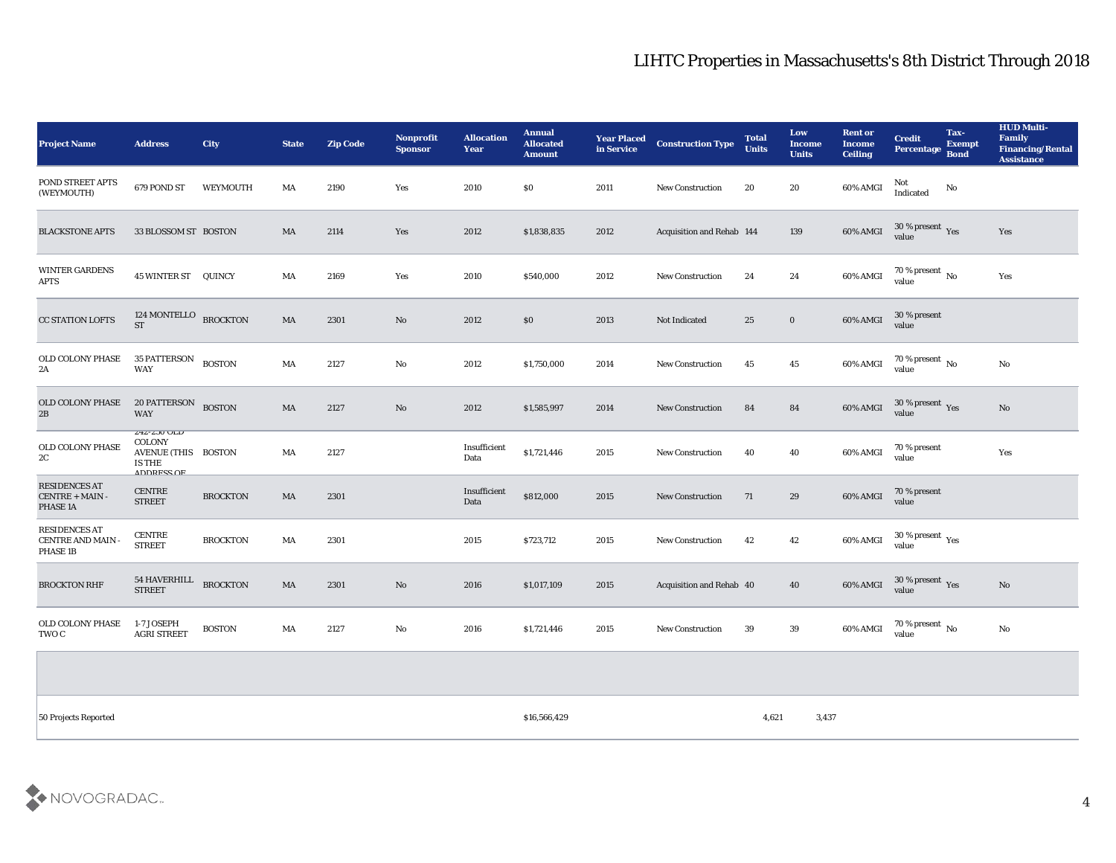| Project Name                                                 | <b>Address</b>                                                                                          | <b>City</b>     | <b>State</b> | <b>Zip Code</b> | <b>Nonprofit</b><br><b>Sponsor</b> | <b>Allocation</b><br>Year | <b>Annual</b><br><b>Allocated</b><br><b>Amount</b> | <b>Year Placed</b><br>in Service | <b>Construction Type</b>  | <b>Total</b><br><b>Units</b> | Low<br><b>Income</b><br><b>Units</b> | <b>Rent or</b><br><b>Income</b><br><b>Ceiling</b> | <b>Credit</b><br>Percentage Bond                | Tax-<br><b>Exempt</b> | <b>HUD Multi-</b><br>Family<br><b>Financing/Rental</b><br><b>Assistance</b> |
|--------------------------------------------------------------|---------------------------------------------------------------------------------------------------------|-----------------|--------------|-----------------|------------------------------------|---------------------------|----------------------------------------------------|----------------------------------|---------------------------|------------------------------|--------------------------------------|---------------------------------------------------|-------------------------------------------------|-----------------------|-----------------------------------------------------------------------------|
| POND STREET APTS<br>(WEYMOUTH)                               | 679 POND ST                                                                                             | WEYMOUTH        | MA           | 2190            | Yes                                | 2010                      | $\$0$                                              | 2011                             | <b>New Construction</b>   | 20                           | $20\,$                               | 60% AMGI                                          | Not<br>Indicated                                | No                    |                                                                             |
| <b>BLACKSTONE APTS</b>                                       | 33 BLOSSOM ST BOSTON                                                                                    |                 | <b>MA</b>    | 2114            | Yes                                | 2012                      | \$1,838,835                                        | 2012                             | Acquisition and Rehab 144 |                              | 139                                  | 60% AMGI                                          | $30\,\%$ present $\,$ Yes value                 |                       | Yes                                                                         |
| <b>WINTER GARDENS</b><br>APTS                                | <b>45 WINTER ST QUINCY</b>                                                                              |                 | MA           | 2169            | Yes                                | 2010                      | \$540,000                                          | 2012                             | <b>New Construction</b>   | 24                           | $\bf 24$                             | 60% AMGI                                          | $70\,\%$ present $\,$ No value                  |                       | Yes                                                                         |
| <b>CC STATION LOFTS</b>                                      | 124 MONTELLO BROCKTON<br>${\rm ST}$                                                                     |                 | MA           | 2301            | $\mathbf{N}\mathbf{o}$             | 2012                      | \$0\$                                              | 2013                             | Not Indicated             | 25                           | $\bf{0}$                             | 60% AMGI                                          | 30 % present<br>value                           |                       |                                                                             |
| OLD COLONY PHASE<br>2A                                       | 35 PATTERSON BOSTON<br>WAY                                                                              |                 | MA           | 2127            | $\mathbf{N}\mathbf{o}$             | 2012                      | \$1,750,000                                        | 2014                             | <b>New Construction</b>   | 45                           | 45                                   | 60% AMGI                                          | $70\,\%$ present $\,$ No value                  |                       | $\mathbf{N}\mathbf{o}$                                                      |
| OLD COLONY PHASE<br>$2\mathrm{B}$                            | 20 PATTERSON BOSTON<br><b>WAY</b>                                                                       |                 | MA           | 2127            | $\mathbf{N}\mathbf{o}$             | 2012                      | \$1,585,997                                        | 2014                             | <b>New Construction</b>   | 84                           | 84                                   | 60% AMGI                                          | $30\,\%$ present $\,$ Yes value                 |                       | No                                                                          |
| OLD COLONY PHASE<br>2C                                       | $\angle 4\angle - \angle 3U$ ULD<br><b>COLONY</b><br>AVENUE (THIS BOSTON<br><b>IS THE</b><br>ADDDECC OF |                 | MA           | 2127            |                                    | Insufficient<br>Data      | \$1,721,446                                        | 2015                             | New Construction          | 40                           | 40                                   | 60% AMGI                                          | 70 % present<br>value                           |                       | Yes                                                                         |
| <b>RESIDENCES AT</b><br>CENTRE + MAIN -<br>PHASE 1A          | <b>CENTRE</b><br><b>STREET</b>                                                                          | <b>BROCKTON</b> | MA           | 2301            |                                    | Insufficient<br>Data      | \$812,000                                          | 2015                             | <b>New Construction</b>   | 71                           | 29                                   | 60% AMGI                                          | 70 % present<br>value                           |                       |                                                                             |
| <b>RESIDENCES AT</b><br><b>CENTRE AND MAIN -</b><br>PHASE 1B | <b>CENTRE</b><br><b>STREET</b>                                                                          | <b>BROCKTON</b> | MA           | 2301            |                                    | 2015                      | \$723,712                                          | 2015                             | <b>New Construction</b>   | 42                           | 42                                   | 60% AMGI                                          | $30\,\%$ present $\rm\thinspace_{Yes}$<br>value |                       |                                                                             |
| <b>BROCKTON RHF</b>                                          | <b>54 HAVERHILL</b><br><b>STREET</b>                                                                    | <b>BROCKTON</b> | MA           | 2301            | No                                 | 2016                      | \$1,017,109                                        | 2015                             | Acquisition and Rehab 40  |                              | 40                                   | 60% AMGI                                          | $30\,\%$ present $\,$ Yes value                 |                       | No                                                                          |
| OLD COLONY PHASE<br>TWO C                                    | 1-7 JOSEPH<br><b>AGRI STREET</b>                                                                        | <b>BOSTON</b>   | MA           | 2127            | $\mathbf{N}\mathbf{o}$             | 2016                      | \$1,721,446                                        | 2015                             | <b>New Construction</b>   | 39                           | 39                                   | 60% AMGI                                          | $70\,\%$ present $\,$ No value                  |                       | No                                                                          |
|                                                              |                                                                                                         |                 |              |                 |                                    |                           |                                                    |                                  |                           |                              |                                      |                                                   |                                                 |                       |                                                                             |
|                                                              |                                                                                                         |                 |              |                 |                                    |                           |                                                    |                                  |                           |                              |                                      |                                                   |                                                 |                       |                                                                             |